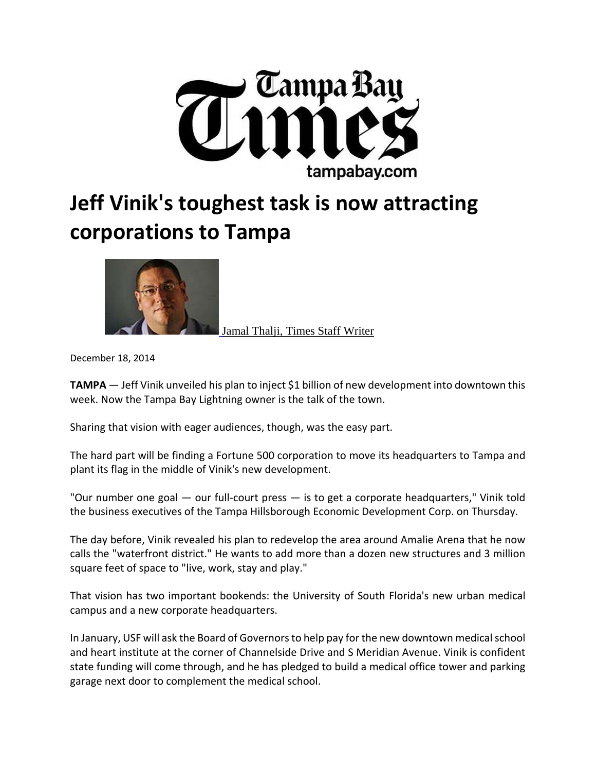

## **Jeff Vinik's toughest task is now attracting corporations to Tampa**



Jamal Thalji, Times Staff Writer

December 18, 2014

**TAMPA** — Jeff Vinik unveiled his plan to inject \$1 billion of new development into downtown this week. Now the Tampa Bay Lightning owner is the talk of the town.

Sharing that vision with eager audiences, though, was the easy part.

The hard part will be finding a Fortune 500 corporation to move its headquarters to Tampa and plant its flag in the middle of Vinik's new development.

"Our number one goal — our full-court press — is to get a corporate headquarters," Vinik told the business executives of the Tampa Hillsborough Economic Development Corp. on Thursday.

The day before, Vinik revealed his plan to redevelop the area around Amalie Arena that he now calls the "waterfront district." He wants to add more than a dozen new structures and 3 million square feet of space to "live, work, stay and play."

That vision has two important bookends: the University of South Florida's new urban medical campus and a new corporate headquarters.

In January, USF will ask the Board of Governorsto help pay for the new downtown medicalschool and heart institute at the corner of Channelside Drive and S Meridian Avenue. Vinik is confident state funding will come through, and he has pledged to build a medical office tower and parking garage next door to complement the medical school.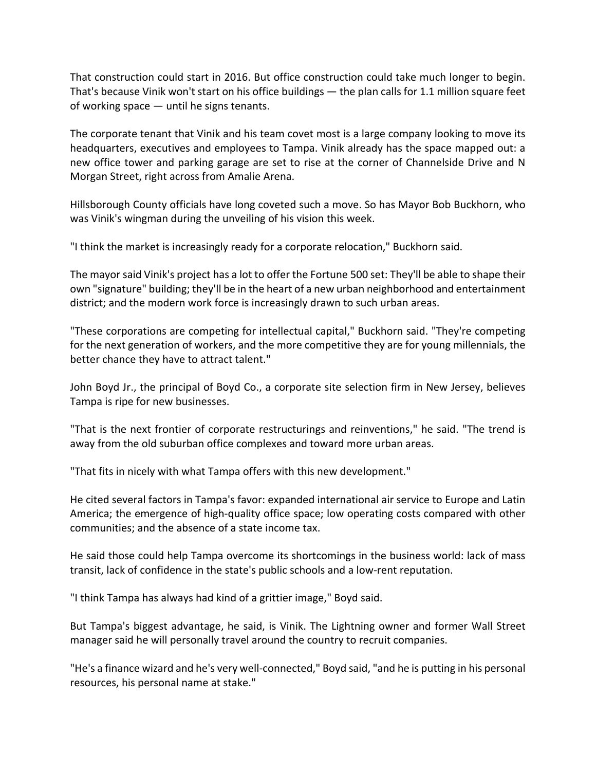That construction could start in 2016. But office construction could take much longer to begin. That's because Vinik won't start on his office buildings — the plan calls for 1.1 million square feet of working space — until he signs tenants.

The corporate tenant that Vinik and his team covet most is a large company looking to move its headquarters, executives and employees to Tampa. Vinik already has the space mapped out: a new office tower and parking garage are set to rise at the corner of Channelside Drive and N Morgan Street, right across from Amalie Arena.

Hillsborough County officials have long coveted such a move. So has Mayor Bob Buckhorn, who was Vinik's wingman during the unveiling of his vision this week.

"I think the market is increasingly ready for a corporate relocation," Buckhorn said.

The mayor said Vinik's project has a lot to offer the Fortune 500 set: They'll be able to shape their own "signature" building; they'll be in the heart of a new urban neighborhood and entertainment district; and the modern work force is increasingly drawn to such urban areas.

"These corporations are competing for intellectual capital," Buckhorn said. "They're competing for the next generation of workers, and the more competitive they are for young millennials, the better chance they have to attract talent."

John Boyd Jr., the principal of Boyd Co., a corporate site selection firm in New Jersey, believes Tampa is ripe for new businesses.

"That is the next frontier of corporate restructurings and reinventions," he said. "The trend is away from the old suburban office complexes and toward more urban areas.

"That fits in nicely with what Tampa offers with this new development."

He cited several factors in Tampa's favor: expanded international air service to Europe and Latin America; the emergence of high-quality office space; low operating costs compared with other communities; and the absence of a state income tax.

He said those could help Tampa overcome its shortcomings in the business world: lack of mass transit, lack of confidence in the state's public schools and a low‐rent reputation.

"I think Tampa has always had kind of a grittier image," Boyd said.

But Tampa's biggest advantage, he said, is Vinik. The Lightning owner and former Wall Street manager said he will personally travel around the country to recruit companies.

"He's a finance wizard and he's very well‐connected," Boyd said, "and he is putting in his personal resources, his personal name at stake."